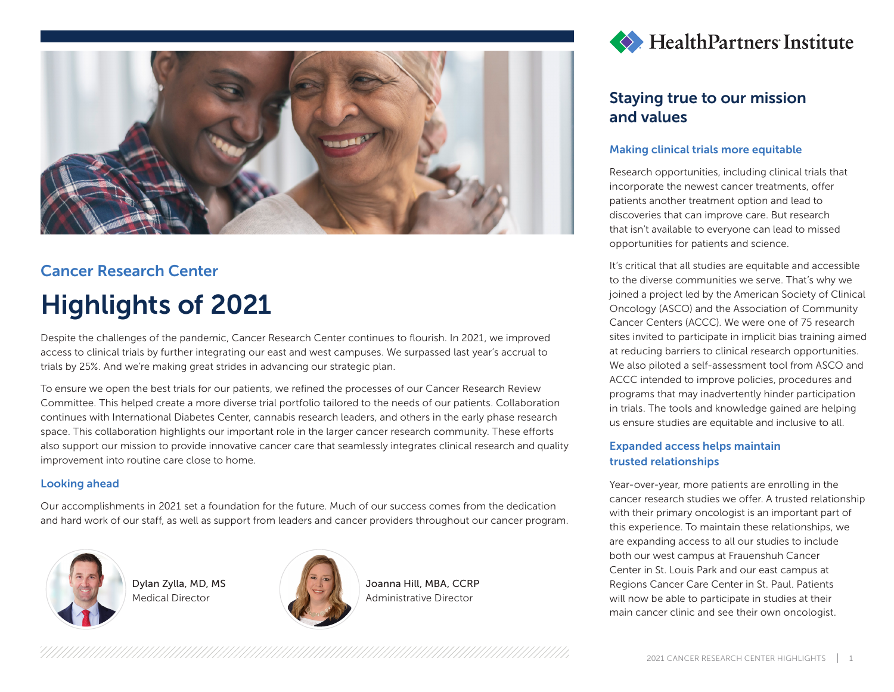

## Cancer Research Center Highlights of 2021

Despite the challenges of the pandemic, Cancer Research Center continues to flourish. In 2021, we improved access to clinical trials by further integrating our east and west campuses. We surpassed last year's accrual to trials by 25%. And we're making great strides in advancing our strategic plan.

To ensure we open the best trials for our patients, we refined the processes of our Cancer Research Review Committee. This helped create a more diverse trial portfolio tailored to the needs of our patients. Collaboration continues with International Diabetes Center, cannabis research leaders, and others in the early phase research space. This collaboration highlights our important role in the larger cancer research community. These efforts also support our mission to provide innovative cancer care that seamlessly integrates clinical research and quality improvement into routine care close to home.

#### Looking ahead

Our accomplishments in 2021 set a foundation for the future. Much of our success comes from the dedication and hard work of our staff, as well as support from leaders and cancer providers throughout our cancer program.



Dylan Zylla, MD, MS Medical Director



Joanna Hill, MBA, CCRP Administrative Director



## Staying true to our mission and values

#### Making clinical trials more equitable

Research opportunities, including clinical trials that incorporate the newest cancer treatments, offer patients another treatment option and lead to discoveries that can improve care. But research that isn't available to everyone can lead to missed opportunities for patients and science.

It's critical that all studies are equitable and accessible to the diverse communities we serve. That's why we joined a project led by the American Society of Clinical Oncology (ASCO) and the Association of Community Cancer Centers (ACCC). We were one of 75 research sites invited to participate in implicit bias training aimed at reducing barriers to clinical research opportunities. We also piloted a self-assessment tool from ASCO and ACCC intended to improve policies, procedures and programs that may inadvertently hinder participation in trials. The tools and knowledge gained are helping us ensure studies are equitable and inclusive to all.

#### Expanded access helps maintain trusted relationships

Year-over-year, more patients are enrolling in the cancer research studies we offer. A trusted relationship with their primary oncologist is an important part of this experience. To maintain these relationships, we are expanding access to all our studies to include both our west campus at Frauenshuh Cancer Center in St. Louis Park and our east campus at Regions Cancer Care Center in St. Paul. Patients will now be able to participate in studies at their main cancer clinic and see their own oncologist.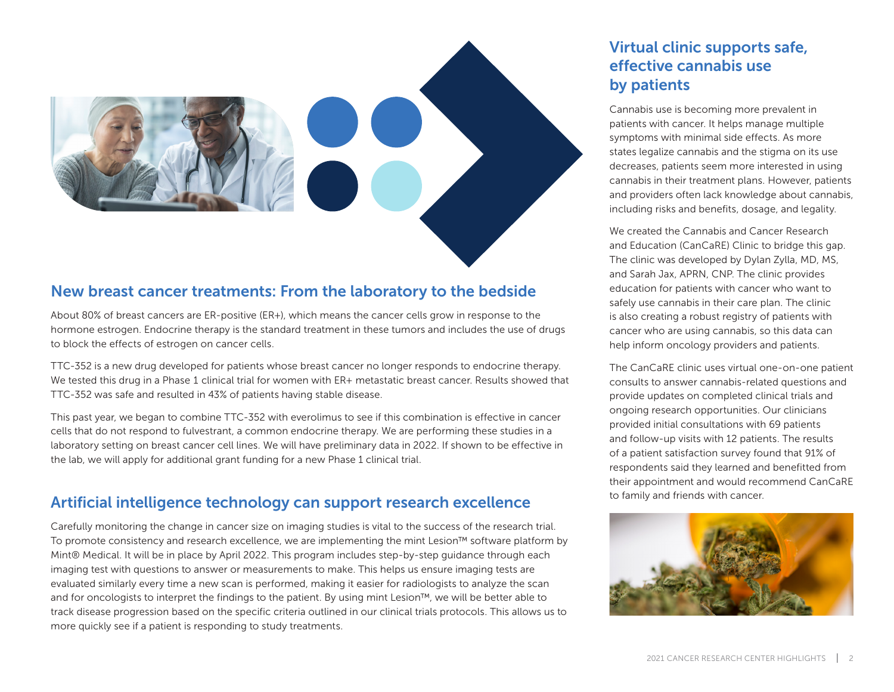

#### New breast cancer treatments: From the laboratory to the bedside

About 80% of breast cancers are ER-positive (ER+), which means the cancer cells grow in response to the hormone estrogen. Endocrine therapy is the standard treatment in these tumors and includes the use of drugs to block the effects of estrogen on cancer cells.

TTC-352 is a new drug developed for patients whose breast cancer no longer responds to endocrine therapy. We tested this drug in a Phase 1 clinical trial for women with ER+ metastatic breast cancer. Results showed that TTC-352 was safe and resulted in 43% of patients having stable disease.

This past year, we began to combine TTC-352 with everolimus to see if this combination is effective in cancer cells that do not respond to fulvestrant, a common endocrine therapy. We are performing these studies in a laboratory setting on breast cancer cell lines. We will have preliminary data in 2022. If shown to be effective in the lab, we will apply for additional grant funding for a new Phase 1 clinical trial.

#### Artificial intelligence technology can support research excellence

Carefully monitoring the change in cancer size on imaging studies is vital to the success of the research trial. To promote consistency and research excellence, we are implementing the mint Lesion™ software platform by Mint® Medical. It will be in place by April 2022. This program includes step-by-step guidance through each imaging test with questions to answer or measurements to make. This helps us ensure imaging tests are evaluated similarly every time a new scan is performed, making it easier for radiologists to analyze the scan and for oncologists to interpret the findings to the patient. By using mint Lesion™, we will be better able to track disease progression based on the specific criteria outlined in our clinical trials protocols. This allows us to more quickly see if a patient is responding to study treatments.

## Virtual clinic supports safe, effective cannabis use by patients

Cannabis use is becoming more prevalent in patients with cancer. It helps manage multiple symptoms with minimal side effects. As more states legalize cannabis and the stigma on its use decreases, patients seem more interested in using cannabis in their treatment plans. However, patients and providers often lack knowledge about cannabis, including risks and benefits, dosage, and legality.

We created the Cannabis and Cancer Research and Education (CanCaRE) Clinic to bridge this gap. The clinic was developed by Dylan Zylla, MD, MS, and Sarah Jax, APRN, CNP. The clinic provides education for patients with cancer who want to safely use cannabis in their care plan. The clinic is also creating a robust registry of patients with cancer who are using cannabis, so this data can help inform oncology providers and patients.

The CanCaRE clinic uses virtual one-on-one patient consults to answer cannabis-related questions and provide updates on completed clinical trials and ongoing research opportunities. Our clinicians provided initial consultations with 69 patients and follow-up visits with 12 patients. The results of a patient satisfaction survey found that 91% of respondents said they learned and benefitted from their appointment and would recommend CanCaRE to family and friends with cancer.

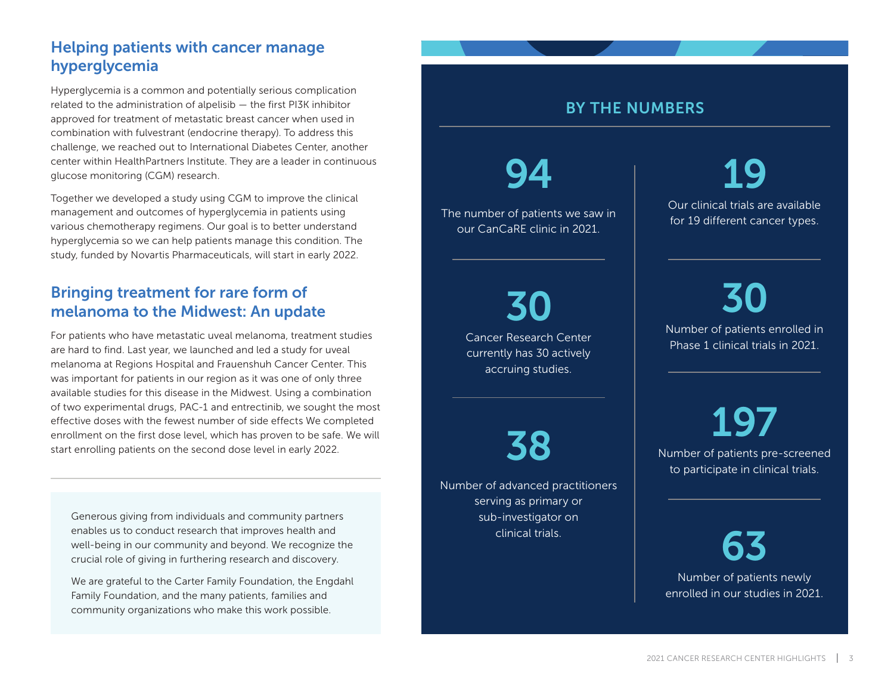## Helping patients with cancer manage hyperglycemia

Hyperglycemia is a common and potentially serious complication related to the administration of alpelisib — the first PI3K inhibitor approved for treatment of metastatic breast cancer when used in combination with fulvestrant (endocrine therapy). To address this challenge, we reached out to International Diabetes Center, another center within HealthPartners Institute. They are a leader in continuous glucose monitoring (CGM) research.

Together we developed a study using CGM to improve the clinical management and outcomes of hyperglycemia in patients using various chemotherapy regimens. Our goal is to better understand hyperglycemia so we can help patients manage this condition. The study, funded by Novartis Pharmaceuticals, will start in early 2022.

## Bringing treatment for rare form of melanoma to the Midwest: An update

For patients who have metastatic uveal melanoma, treatment studies are hard to find. Last year, we launched and led a study for uveal melanoma at Regions Hospital and Frauenshuh Cancer Center. This was important for patients in our region as it was one of only three available studies for this disease in the Midwest. Using a combination of two experimental drugs, PAC-1 and entrectinib, we sought the most effective doses with the fewest number of side effects We completed enrollment on the first dose level, which has proven to be safe. We will start enrolling patients on the second dose level in early 2022.

Generous giving from individuals and community partners enables us to conduct research that improves health and well-being in our community and beyond. We recognize the crucial role of giving in furthering research and discovery.

We are grateful to the Carter Family Foundation, the Engdahl Family Foundation, and the many patients, families and community organizations who make this work possible.

# BY THE NUMBERS

The number of patients we saw in our CanCaRE clinic in 2021.

94

30 Cancer Research Center currently has 30 actively accruing studies.

38

Number of advanced practitioners serving as primary or sub-investigator on clinical trials.

19 Our clinical trials are available for 19 different cancer types.

30 Number of patients enrolled in Phase 1 clinical trials in 2021.

197 Number of patients pre-screened to participate in clinical trials.

63 Number of patients newly enrolled in our studies in 2021.